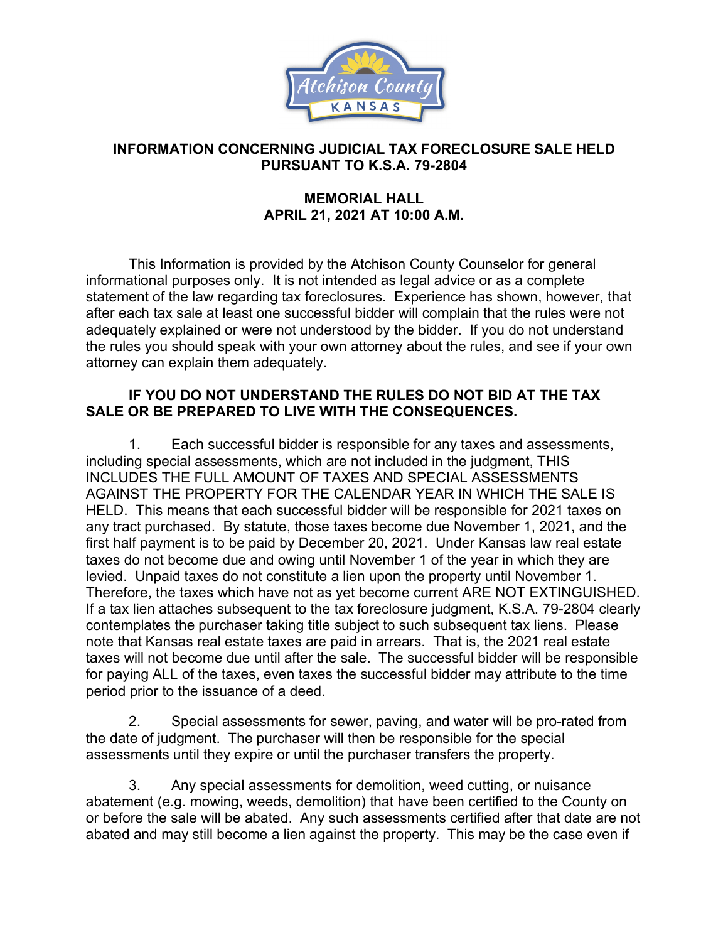

## **INFORMATION CONCERNING JUDICIAL TAX FORECLOSURE SALE HELD PURSUANT TO K.S.A. 79-2804**

## **MEMORIAL HALL APRIL 21, 2021 AT 10:00 A.M.**

This Information is provided by the Atchison County Counselor for general informational purposes only. It is not intended as legal advice or as a complete statement of the law regarding tax foreclosures. Experience has shown, however, that after each tax sale at least one successful bidder will complain that the rules were not adequately explained or were not understood by the bidder. If you do not understand the rules you should speak with your own attorney about the rules, and see if your own attorney can explain them adequately.

## **IF YOU DO NOT UNDERSTAND THE RULES DO NOT BID AT THE TAX SALE OR BE PREPARED TO LIVE WITH THE CONSEQUENCES.**

1. Each successful bidder is responsible for any taxes and assessments, including special assessments, which are not included in the judgment, THIS INCLUDES THE FULL AMOUNT OF TAXES AND SPECIAL ASSESSMENTS AGAINST THE PROPERTY FOR THE CALENDAR YEAR IN WHICH THE SALE IS HELD. This means that each successful bidder will be responsible for 2021 taxes on any tract purchased. By statute, those taxes become due November 1, 2021, and the first half payment is to be paid by December 20, 2021. Under Kansas law real estate taxes do not become due and owing until November 1 of the year in which they are levied. Unpaid taxes do not constitute a lien upon the property until November 1. Therefore, the taxes which have not as yet become current ARE NOT EXTINGUISHED. If a tax lien attaches subsequent to the tax foreclosure judgment, K.S.A. 79-2804 clearly contemplates the purchaser taking title subject to such subsequent tax liens. Please note that Kansas real estate taxes are paid in arrears. That is, the 2021 real estate taxes will not become due until after the sale. The successful bidder will be responsible for paying ALL of the taxes, even taxes the successful bidder may attribute to the time period prior to the issuance of a deed.

2. Special assessments for sewer, paving, and water will be pro-rated from the date of judgment. The purchaser will then be responsible for the special assessments until they expire or until the purchaser transfers the property.

3. Any special assessments for demolition, weed cutting, or nuisance abatement (e.g. mowing, weeds, demolition) that have been certified to the County on or before the sale will be abated. Any such assessments certified after that date are not abated and may still become a lien against the property. This may be the case even if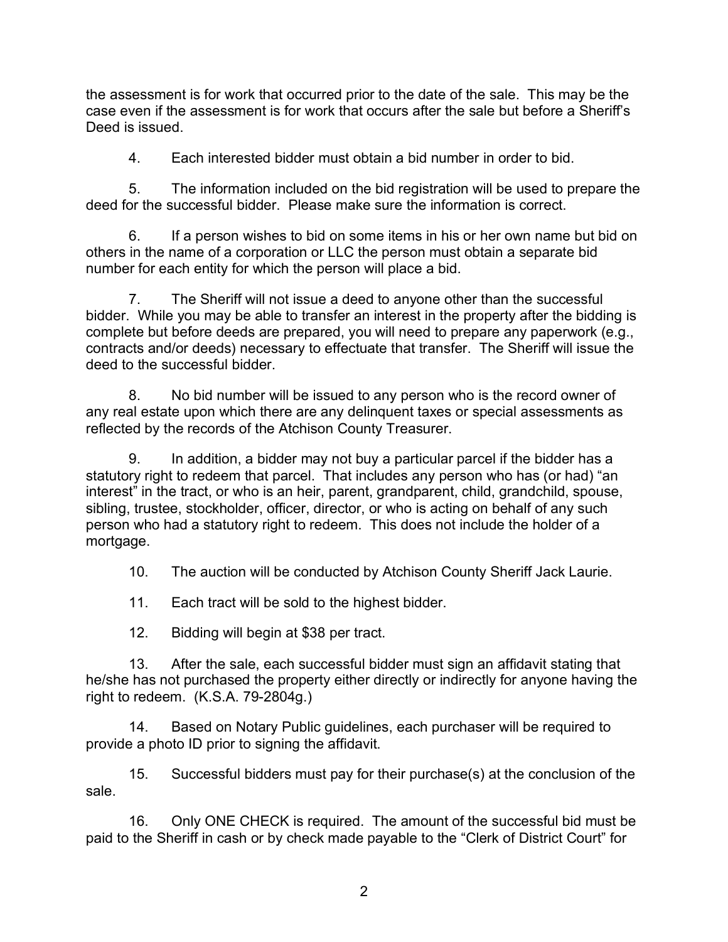the assessment is for work that occurred prior to the date of the sale. This may be the case even if the assessment is for work that occurs after the sale but before a Sheriff's Deed is issued.

4. Each interested bidder must obtain a bid number in order to bid.

5. The information included on the bid registration will be used to prepare the deed for the successful bidder. Please make sure the information is correct.

6. If a person wishes to bid on some items in his or her own name but bid on others in the name of a corporation or LLC the person must obtain a separate bid number for each entity for which the person will place a bid.

7. The Sheriff will not issue a deed to anyone other than the successful bidder. While you may be able to transfer an interest in the property after the bidding is complete but before deeds are prepared, you will need to prepare any paperwork (e.g., contracts and/or deeds) necessary to effectuate that transfer. The Sheriff will issue the deed to the successful bidder.

8. No bid number will be issued to any person who is the record owner of any real estate upon which there are any delinquent taxes or special assessments as reflected by the records of the Atchison County Treasurer.

9. In addition, a bidder may not buy a particular parcel if the bidder has a statutory right to redeem that parcel. That includes any person who has (or had) "an interest" in the tract, or who is an heir, parent, grandparent, child, grandchild, spouse, sibling, trustee, stockholder, officer, director, or who is acting on behalf of any such person who had a statutory right to redeem. This does not include the holder of a mortgage.

10. The auction will be conducted by Atchison County Sheriff Jack Laurie.

11. Each tract will be sold to the highest bidder.

12. Bidding will begin at \$38 per tract.

13. After the sale, each successful bidder must sign an affidavit stating that he/she has not purchased the property either directly or indirectly for anyone having the right to redeem. (K.S.A. 79-2804g.)

14. Based on Notary Public guidelines, each purchaser will be required to provide a photo ID prior to signing the affidavit.

15. Successful bidders must pay for their purchase(s) at the conclusion of the sale.

16. Only ONE CHECK is required. The amount of the successful bid must be paid to the Sheriff in cash or by check made payable to the "Clerk of District Court" for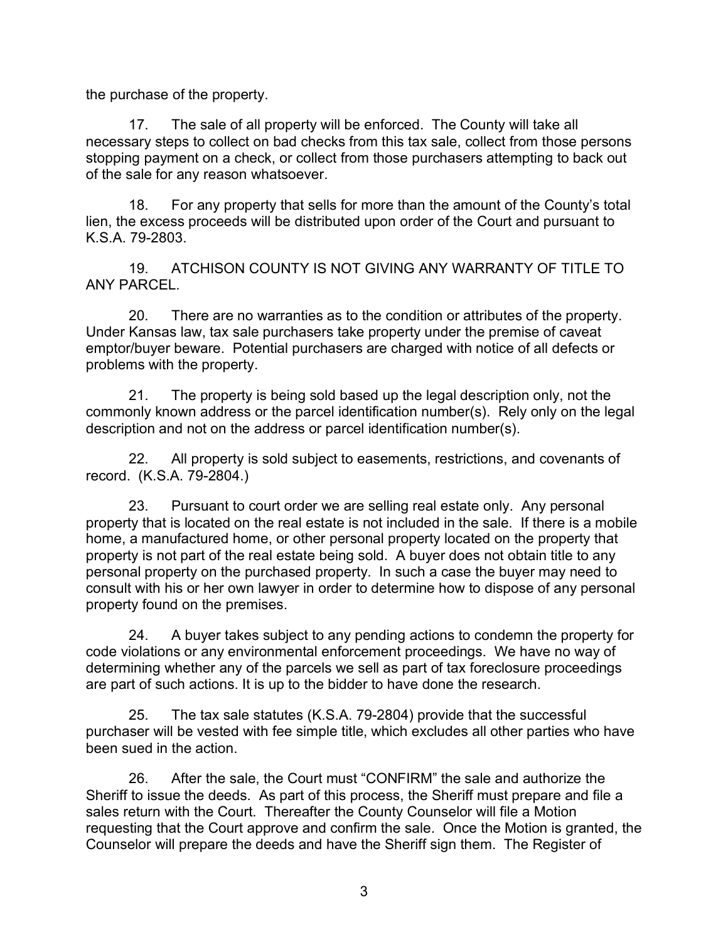the purchase of the property.

17. The sale of all property will be enforced. The County will take all necessary steps to collect on bad checks from this tax sale, collect from those persons stopping payment on a check, or collect from those purchasers attempting to back out of the sale for any reason whatsoever.

18. For any property that sells for more than the amount of the County's total lien, the excess proceeds will be distributed upon order of the Court and pursuant to K.S.A. 79-2803.

19. ATCHISON COUNTY IS NOT GIVING ANY WARRANTY OF TITLE TO ANY PARCEL.

20. There are no warranties as to the condition or attributes of the property. Under Kansas law, tax sale purchasers take property under the premise of caveat emptor/buyer beware. Potential purchasers are charged with notice of all defects or problems with the property.

21. The property is being sold based up the legal description only, not the commonly known address or the parcel identification number(s). Rely only on the legal description and not on the address or parcel identification number(s).

22. All property is sold subject to easements, restrictions, and covenants of record. (K.S.A. 79-2804.)

23. Pursuant to court order we are selling real estate only. Any personal property that is located on the real estate is not included in the sale. If there is a mobile home, a manufactured home, or other personal property located on the property that property is not part of the real estate being sold. A buyer does not obtain title to any personal property on the purchased property. In such a case the buyer may need to consult with his or her own lawyer in order to determine how to dispose of any personal property found on the premises.

24. A buyer takes subject to any pending actions to condemn the property for code violations or any environmental enforcement proceedings. We have no way of determining whether any of the parcels we sell as part of tax foreclosure proceedings are part of such actions. It is up to the bidder to have done the research.

25. The tax sale statutes (K.S.A. 79-2804) provide that the successful purchaser will be vested with fee simple title, which excludes all other parties who have been sued in the action.

26. After the sale, the Court must "CONFIRM" the sale and authorize the Sheriff to issue the deeds. As part of this process, the Sheriff must prepare and file a sales return with the Court. Thereafter the County Counselor will file a Motion requesting that the Court approve and confirm the sale. Once the Motion is granted, the Counselor will prepare the deeds and have the Sheriff sign them. The Register of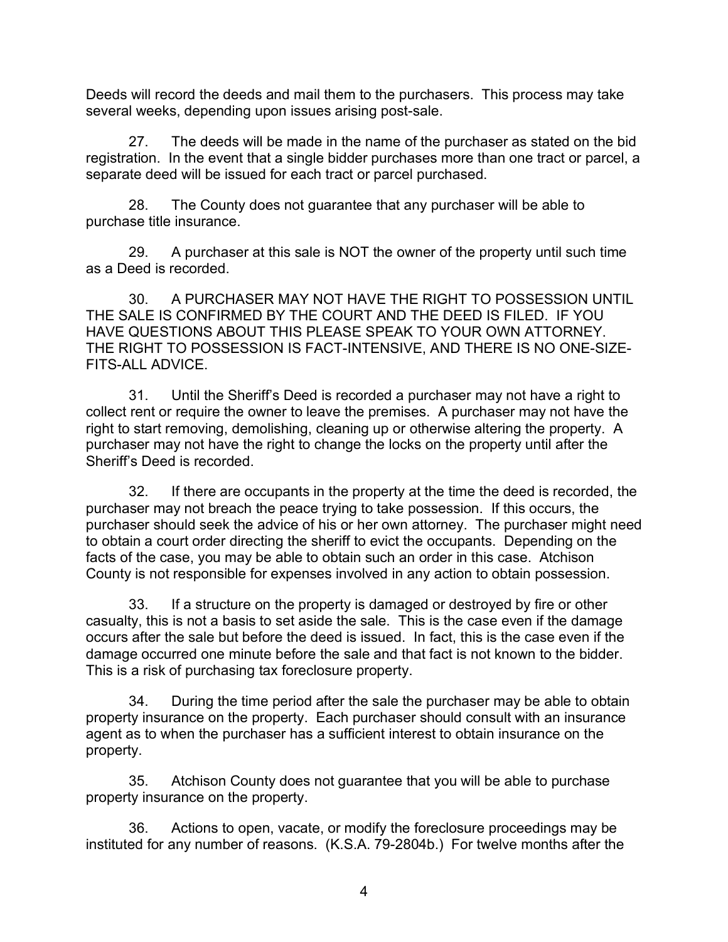Deeds will record the deeds and mail them to the purchasers. This process may take several weeks, depending upon issues arising post-sale.

27. The deeds will be made in the name of the purchaser as stated on the bid registration. In the event that a single bidder purchases more than one tract or parcel, a separate deed will be issued for each tract or parcel purchased.

28. The County does not guarantee that any purchaser will be able to purchase title insurance.

29. A purchaser at this sale is NOT the owner of the property until such time as a Deed is recorded.

30. A PURCHASER MAY NOT HAVE THE RIGHT TO POSSESSION UNTIL THE SALE IS CONFIRMED BY THE COURT AND THE DEED IS FILED. IF YOU HAVE QUESTIONS ABOUT THIS PLEASE SPEAK TO YOUR OWN ATTORNEY. THE RIGHT TO POSSESSION IS FACT-INTENSIVE, AND THERE IS NO ONE-SIZE-FITS-ALL ADVICE.

31. Until the Sheriff's Deed is recorded a purchaser may not have a right to collect rent or require the owner to leave the premises. A purchaser may not have the right to start removing, demolishing, cleaning up or otherwise altering the property. A purchaser may not have the right to change the locks on the property until after the Sheriff's Deed is recorded.

32. If there are occupants in the property at the time the deed is recorded, the purchaser may not breach the peace trying to take possession. If this occurs, the purchaser should seek the advice of his or her own attorney. The purchaser might need to obtain a court order directing the sheriff to evict the occupants. Depending on the facts of the case, you may be able to obtain such an order in this case. Atchison County is not responsible for expenses involved in any action to obtain possession.

33. If a structure on the property is damaged or destroyed by fire or other casualty, this is not a basis to set aside the sale. This is the case even if the damage occurs after the sale but before the deed is issued. In fact, this is the case even if the damage occurred one minute before the sale and that fact is not known to the bidder. This is a risk of purchasing tax foreclosure property.

34. During the time period after the sale the purchaser may be able to obtain property insurance on the property. Each purchaser should consult with an insurance agent as to when the purchaser has a sufficient interest to obtain insurance on the property.

35. Atchison County does not guarantee that you will be able to purchase property insurance on the property.

36. Actions to open, vacate, or modify the foreclosure proceedings may be instituted for any number of reasons. (K.S.A. 79-2804b.) For twelve months after the